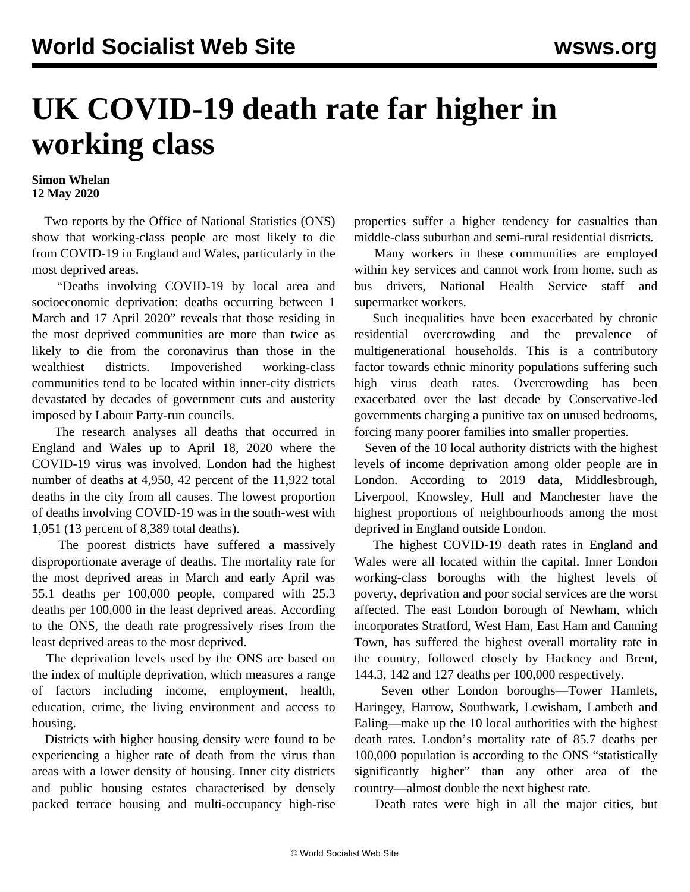## **UK COVID-19 death rate far higher in working class**

## **Simon Whelan 12 May 2020**

 Two reports by the Office of National Statistics (ONS) show that working-class people are most likely to die from COVID-19 in England and Wales, particularly in the most deprived areas.

 "Deaths involving COVID-19 by local area and socioeconomic deprivation: deaths occurring between 1 March and 17 April 2020" reveals that those residing in the most deprived communities are more than twice as likely to die from the coronavirus than those in the wealthiest districts. Impoverished working-class communities tend to be located within inner-city districts devastated by decades of government cuts and austerity imposed by Labour Party-run councils.

 The research analyses all deaths that occurred in England and Wales up to April 18, 2020 where the COVID-19 virus was involved. London had the highest number of deaths at 4,950, 42 percent of the 11,922 total deaths in the city from all causes. The lowest proportion of deaths involving COVID-19 was in the south-west with 1,051 (13 percent of 8,389 total deaths).

 The poorest districts have suffered a massively disproportionate average of deaths. The mortality rate for the most deprived areas in March and early April was 55.1 deaths per 100,000 people, compared with 25.3 deaths per 100,000 in the least deprived areas. According to the ONS, the death rate progressively rises from the least deprived areas to the most deprived.

 The deprivation levels used by the ONS are based on the index of multiple deprivation, which measures a range of factors including income, employment, health, education, crime, the living environment and access to housing.

 Districts with higher housing density were found to be experiencing a higher rate of death from the virus than areas with a lower density of housing. Inner city districts and public housing estates characterised by densely packed terrace housing and multi-occupancy high-rise properties suffer a higher tendency for casualties than middle-class suburban and semi-rural residential districts.

 Many workers in these communities are employed within key services and cannot work from home, such as bus drivers, National Health Service staff and supermarket workers.

 Such inequalities have been exacerbated by chronic residential overcrowding and the prevalence of multigenerational households. This is a contributory factor towards ethnic minority populations suffering such high virus death rates. Overcrowding has been exacerbated over the last decade by Conservative-led governments charging a punitive tax on unused bedrooms, forcing many poorer families into smaller properties.

 Seven of the 10 local authority districts with the highest levels of income deprivation among older people are in London. According to 2019 data, Middlesbrough, Liverpool, Knowsley, Hull and Manchester have the highest proportions of neighbourhoods among the most deprived in England outside London.

 The highest COVID-19 death rates in England and Wales were all located within the capital. Inner London working-class boroughs with the highest levels of poverty, deprivation and poor social services are the worst affected. The east London borough of Newham, which incorporates Stratford, West Ham, East Ham and Canning Town, has suffered the highest overall mortality rate in the country, followed closely by Hackney and Brent, 144.3, 142 and 127 deaths per 100,000 respectively.

 Seven other London boroughs—Tower Hamlets, Haringey, Harrow, Southwark, Lewisham, Lambeth and Ealing—make up the 10 local authorities with the highest death rates. London's mortality rate of 85.7 deaths per 100,000 population is according to the ONS "statistically significantly higher" than any other area of the country—almost double the next highest rate.

Death rates were high in all the major cities, but